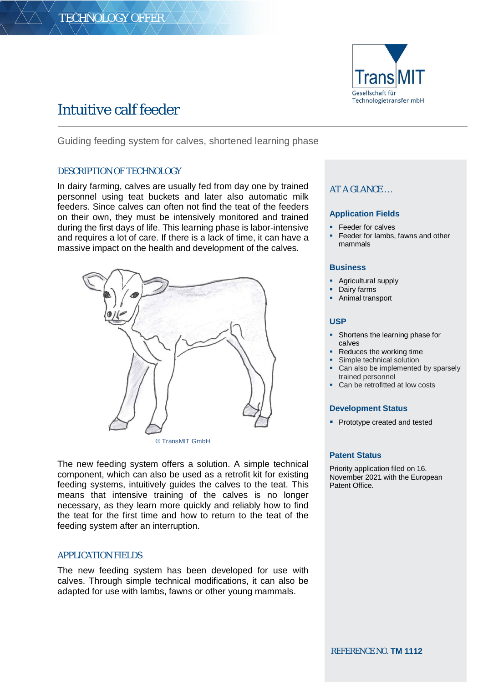

# Intuitive calf feeder

Guiding feeding system for calves, shortened learning phase

# DESCRIPTION OF TECHNOLOGY

In dairy farming, calves are usually fed from day one by trained personnel using teat buckets and later also automatic milk feeders. Since calves can often not find the teat of the feeders on their own, they must be intensively monitored and trained during the first days of life. This learning phase is labor-intensive and requires a lot of care. If there is a lack of time, it can have a massive impact on the health and development of the calves.



© TransMIT GmbH

The new feeding system offers a solution. A simple technical component, which can also be used as a retrofit kit for existing feeding systems, intuitively guides the calves to the teat. This means that intensive training of the calves is no longer necessary, as they learn more quickly and reliably how to find the teat for the first time and how to return to the teat of the feeding system after an interruption.

# APPLICATION FIELDS

The new feeding system has been developed for use with calves. Through simple technical modifications, it can also be adapted for use with lambs, fawns or other young mammals.

# AT A GLANCE …

#### **Application Fields**

- § Feeder for calves
- § Feeder for lambs, fawns and other mammals

#### **Business**

- § Agricultural supply
- Dairy farms
- Animal transport

#### **USP**

- § Shortens the learning phase for calves
- § Reduces the working time
- Simple technical solution
- Can also be implemented by sparsely trained personnel
- Can be retrofitted at low costs

#### **Development Status**

■ Prototype created and tested

## **Patent Status**

Priority application filed on 16. November 2021 with the European Patent Office.